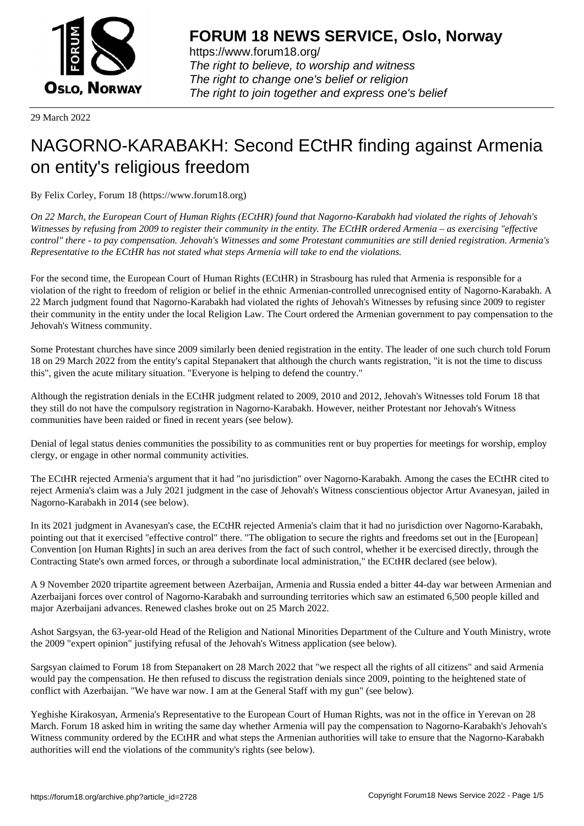

https://www.forum18.org/ The right to believe, to worship and witness The right to change one's belief or religion [The right to join together a](https://www.forum18.org/)nd express one's belief

29 March 2022

## [NAGORNO-KA](https://www.forum18.org)RABAKH: Second ECtHR finding against Armenia on entity's religious freedom

By Felix Corley, Forum 18 (https://www.forum18.org)

*On 22 March, the European Court of Human Rights (ECtHR) found that Nagorno-Karabakh had violated the rights of Jehovah's Witnesses by refusing from 2009 to register their community in the entity. The ECtHR ordered Armenia – as exercising "effective control" there - to pay compensation. Jehovah's Witnesses and some Protestant communities are still denied registration. Armenia's Representative to the ECtHR has not stated what steps Armenia will take to end the violations.*

For the second time, the European Court of Human Rights (ECtHR) in Strasbourg has ruled that Armenia is responsible for a violation of the right to freedom of religion or belief in the ethnic Armenian-controlled unrecognised entity of Nagorno-Karabakh. A 22 March judgment found that Nagorno-Karabakh had violated the rights of Jehovah's Witnesses by refusing since 2009 to register their community in the entity under the local Religion Law. The Court ordered the Armenian government to pay compensation to the Jehovah's Witness community.

Some Protestant churches have since 2009 similarly been denied registration in the entity. The leader of one such church told Forum 18 on 29 March 2022 from the entity's capital Stepanakert that although the church wants registration, "it is not the time to discuss this", given the acute military situation. "Everyone is helping to defend the country."

Although the registration denials in the ECtHR judgment related to 2009, 2010 and 2012, Jehovah's Witnesses told Forum 18 that they still do not have the compulsory registration in Nagorno-Karabakh. However, neither Protestant nor Jehovah's Witness communities have been raided or fined in recent years (see below).

Denial of legal status denies communities the possibility to as communities rent or buy properties for meetings for worship, employ clergy, or engage in other normal community activities.

The ECtHR rejected Armenia's argument that it had "no jurisdiction" over Nagorno-Karabakh. Among the cases the ECtHR cited to reject Armenia's claim was a July 2021 judgment in the case of Jehovah's Witness conscientious objector Artur Avanesyan, jailed in Nagorno-Karabakh in 2014 (see below).

In its 2021 judgment in Avanesyan's case, the ECtHR rejected Armenia's claim that it had no jurisdiction over Nagorno-Karabakh, pointing out that it exercised "effective control" there. "The obligation to secure the rights and freedoms set out in the [European] Convention [on Human Rights] in such an area derives from the fact of such control, whether it be exercised directly, through the Contracting State's own armed forces, or through a subordinate local administration," the ECtHR declared (see below).

A 9 November 2020 tripartite agreement between Azerbaijan, Armenia and Russia ended a bitter 44-day war between Armenian and Azerbaijani forces over control of Nagorno-Karabakh and surrounding territories which saw an estimated 6,500 people killed and major Azerbaijani advances. Renewed clashes broke out on 25 March 2022.

Ashot Sargsyan, the 63-year-old Head of the Religion and National Minorities Department of the Culture and Youth Ministry, wrote the 2009 "expert opinion" justifying refusal of the Jehovah's Witness application (see below).

Sargsyan claimed to Forum 18 from Stepanakert on 28 March 2022 that "we respect all the rights of all citizens" and said Armenia would pay the compensation. He then refused to discuss the registration denials since 2009, pointing to the heightened state of conflict with Azerbaijan. "We have war now. I am at the General Staff with my gun" (see below).

Yeghishe Kirakosyan, Armenia's Representative to the European Court of Human Rights, was not in the office in Yerevan on 28 March. Forum 18 asked him in writing the same day whether Armenia will pay the compensation to Nagorno-Karabakh's Jehovah's Witness community ordered by the ECtHR and what steps the Armenian authorities will take to ensure that the Nagorno-Karabakh authorities will end the violations of the community's rights (see below).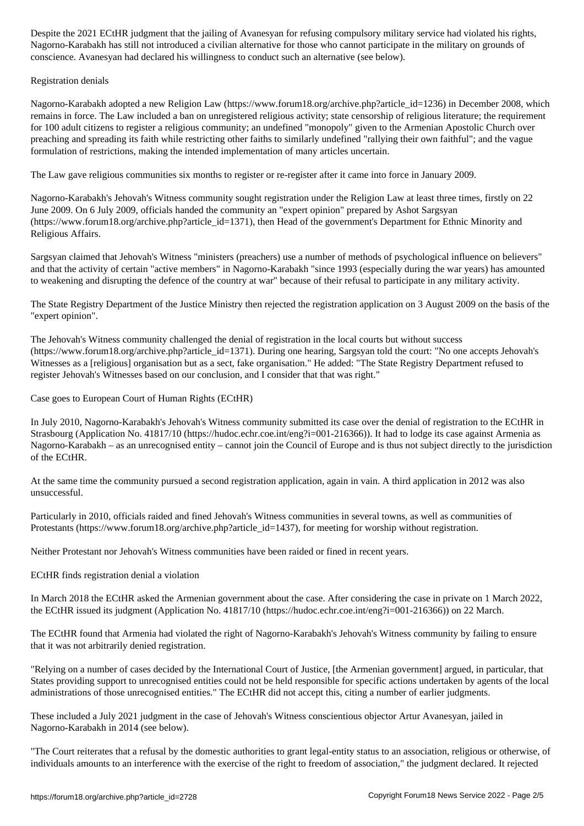Nagorno-Karabakh has still not introduced a civilian alternative for those who cannot participate in the military on grounds of conscience. Avanesyan had declared his willingness to conduct such an alternative (see below).

Registration denials

Nagorno-Karabakh adopted a new Religion Law (https://www.forum18.org/archive.php?article\_id=1236) in December 2008, which remains in force. The Law included a ban on unregistered religious activity; state censorship of religious literature; the requirement for 100 adult citizens to register a religious community; an undefined "monopoly" given to the Armenian Apostolic Church over preaching and spreading its faith while restricting other faiths to similarly undefined "rallying their own faithful"; and the vague formulation of restrictions, making the intended implementation of many articles uncertain.

The Law gave religious communities six months to register or re-register after it came into force in January 2009.

Nagorno-Karabakh's Jehovah's Witness community sought registration under the Religion Law at least three times, firstly on 22 June 2009. On 6 July 2009, officials handed the community an "expert opinion" prepared by Ashot Sargsyan (https://www.forum18.org/archive.php?article\_id=1371), then Head of the government's Department for Ethnic Minority and Religious Affairs.

Sargsyan claimed that Jehovah's Witness "ministers (preachers) use a number of methods of psychological influence on believers" and that the activity of certain "active members" in Nagorno-Karabakh "since 1993 (especially during the war years) has amounted to weakening and disrupting the defence of the country at war" because of their refusal to participate in any military activity.

The State Registry Department of the Justice Ministry then rejected the registration application on 3 August 2009 on the basis of the "expert opinion".

The Jehovah's Witness community challenged the denial of registration in the local courts but without success (https://www.forum18.org/archive.php?article\_id=1371). During one hearing, Sargsyan told the court: "No one accepts Jehovah's Witnesses as a [religious] organisation but as a sect, fake organisation." He added: "The State Registry Department refused to register Jehovah's Witnesses based on our conclusion, and I consider that that was right."

Case goes to European Court of Human Rights (ECtHR)

In July 2010, Nagorno-Karabakh's Jehovah's Witness community submitted its case over the denial of registration to the ECtHR in Strasbourg (Application No. 41817/10 (https://hudoc.echr.coe.int/eng?i=001-216366)). It had to lodge its case against Armenia as Nagorno-Karabakh – as an unrecognised entity – cannot join the Council of Europe and is thus not subject directly to the jurisdiction of the ECtHR.

At the same time the community pursued a second registration application, again in vain. A third application in 2012 was also unsuccessful.

Particularly in 2010, officials raided and fined Jehovah's Witness communities in several towns, as well as communities of Protestants (https://www.forum18.org/archive.php?article\_id=1437), for meeting for worship without registration.

Neither Protestant nor Jehovah's Witness communities have been raided or fined in recent years.

ECtHR finds registration denial a violation

In March 2018 the ECtHR asked the Armenian government about the case. After considering the case in private on 1 March 2022, the ECtHR issued its judgment (Application No. 41817/10 (https://hudoc.echr.coe.int/eng?i=001-216366)) on 22 March.

The ECtHR found that Armenia had violated the right of Nagorno-Karabakh's Jehovah's Witness community by failing to ensure that it was not arbitrarily denied registration.

"Relying on a number of cases decided by the International Court of Justice, [the Armenian government] argued, in particular, that States providing support to unrecognised entities could not be held responsible for specific actions undertaken by agents of the local administrations of those unrecognised entities." The ECtHR did not accept this, citing a number of earlier judgments.

These included a July 2021 judgment in the case of Jehovah's Witness conscientious objector Artur Avanesyan, jailed in Nagorno-Karabakh in 2014 (see below).

"The Court reiterates that a refusal by the domestic authorities to grant legal-entity status to an association, religious or otherwise, of individuals amounts to an interference with the exercise of the right to freedom of association," the judgment declared. It rejected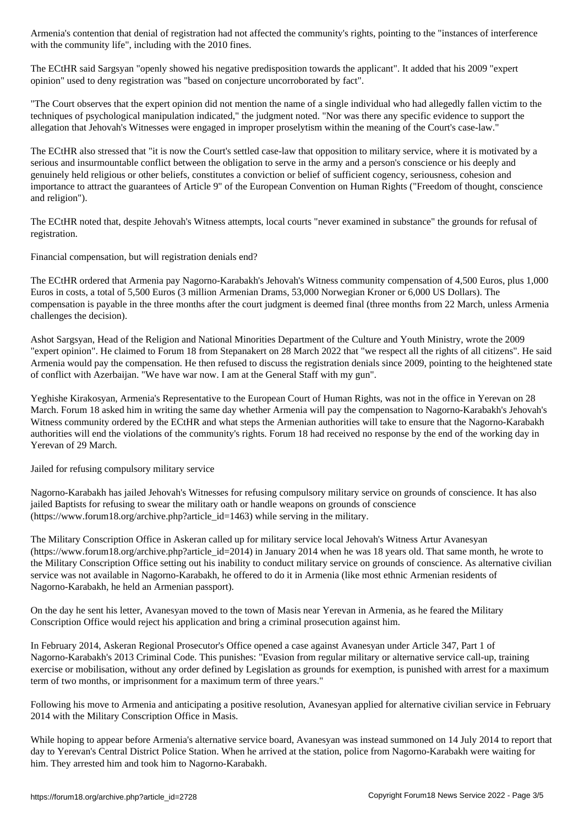with the community life  $\omega$  , including with the 2010 fines. In community with the 2010 fines. In the 2010 fines.

The ECtHR said Sargsyan "openly showed his negative predisposition towards the applicant". It added that his 2009 "expert opinion" used to deny registration was "based on conjecture uncorroborated by fact".

"The Court observes that the expert opinion did not mention the name of a single individual who had allegedly fallen victim to the techniques of psychological manipulation indicated," the judgment noted. "Nor was there any specific evidence to support the allegation that Jehovah's Witnesses were engaged in improper proselytism within the meaning of the Court's case-law."

The ECtHR also stressed that "it is now the Court's settled case-law that opposition to military service, where it is motivated by a serious and insurmountable conflict between the obligation to serve in the army and a person's conscience or his deeply and genuinely held religious or other beliefs, constitutes a conviction or belief of sufficient cogency, seriousness, cohesion and importance to attract the guarantees of Article 9" of the European Convention on Human Rights ("Freedom of thought, conscience and religion").

The ECtHR noted that, despite Jehovah's Witness attempts, local courts "never examined in substance" the grounds for refusal of registration.

Financial compensation, but will registration denials end?

The ECtHR ordered that Armenia pay Nagorno-Karabakh's Jehovah's Witness community compensation of 4,500 Euros, plus 1,000 Euros in costs, a total of 5,500 Euros (3 million Armenian Drams, 53,000 Norwegian Kroner or 6,000 US Dollars). The compensation is payable in the three months after the court judgment is deemed final (three months from 22 March, unless Armenia challenges the decision).

Ashot Sargsyan, Head of the Religion and National Minorities Department of the Culture and Youth Ministry, wrote the 2009 "expert opinion". He claimed to Forum 18 from Stepanakert on 28 March 2022 that "we respect all the rights of all citizens". He said Armenia would pay the compensation. He then refused to discuss the registration denials since 2009, pointing to the heightened state of conflict with Azerbaijan. "We have war now. I am at the General Staff with my gun".

Yeghishe Kirakosyan, Armenia's Representative to the European Court of Human Rights, was not in the office in Yerevan on 28 March. Forum 18 asked him in writing the same day whether Armenia will pay the compensation to Nagorno-Karabakh's Jehovah's Witness community ordered by the ECtHR and what steps the Armenian authorities will take to ensure that the Nagorno-Karabakh authorities will end the violations of the community's rights. Forum 18 had received no response by the end of the working day in Yerevan of 29 March.

Jailed for refusing compulsory military service

Nagorno-Karabakh has jailed Jehovah's Witnesses for refusing compulsory military service on grounds of conscience. It has also jailed Baptists for refusing to swear the military oath or handle weapons on grounds of conscience (https://www.forum18.org/archive.php?article\_id=1463) while serving in the military.

The Military Conscription Office in Askeran called up for military service local Jehovah's Witness Artur Avanesyan (https://www.forum18.org/archive.php?article\_id=2014) in January 2014 when he was 18 years old. That same month, he wrote to the Military Conscription Office setting out his inability to conduct military service on grounds of conscience. As alternative civilian service was not available in Nagorno-Karabakh, he offered to do it in Armenia (like most ethnic Armenian residents of Nagorno-Karabakh, he held an Armenian passport).

On the day he sent his letter, Avanesyan moved to the town of Masis near Yerevan in Armenia, as he feared the Military Conscription Office would reject his application and bring a criminal prosecution against him.

In February 2014, Askeran Regional Prosecutor's Office opened a case against Avanesyan under Article 347, Part 1 of Nagorno-Karabakh's 2013 Criminal Code. This punishes: "Evasion from regular military or alternative service call-up, training exercise or mobilisation, without any order defined by Legislation as grounds for exemption, is punished with arrest for a maximum term of two months, or imprisonment for a maximum term of three years."

Following his move to Armenia and anticipating a positive resolution, Avanesyan applied for alternative civilian service in February 2014 with the Military Conscription Office in Masis.

While hoping to appear before Armenia's alternative service board, Avanesyan was instead summoned on 14 July 2014 to report that day to Yerevan's Central District Police Station. When he arrived at the station, police from Nagorno-Karabakh were waiting for him. They arrested him and took him to Nagorno-Karabakh.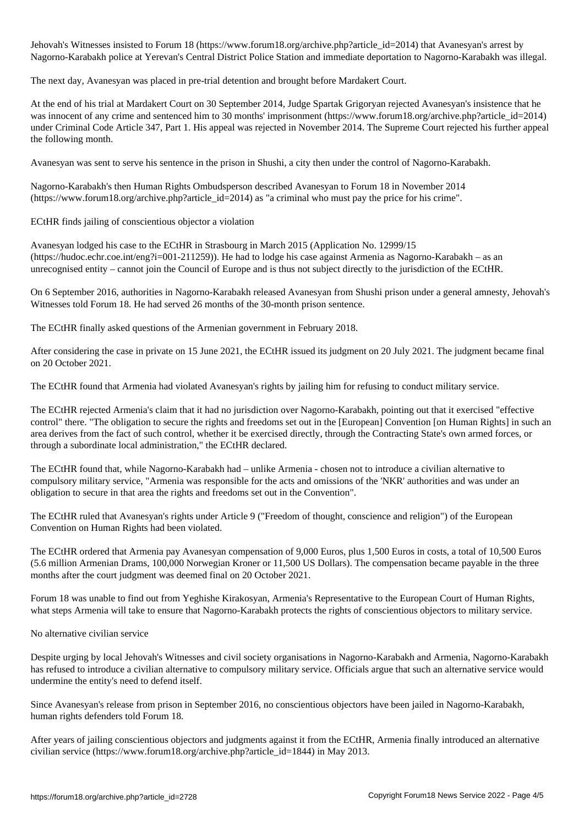Jehovahis Witnesses instituted to Forum 18 (https://www.forumlar.com/article\_id=2014) that Avanesyan's arrort Nagorno-Karabakh police at Yerevan's Central District Police Station and immediate deportation to Nagorno-Karabakh was illegal.

The next day, Avanesyan was placed in pre-trial detention and brought before Mardakert Court.

At the end of his trial at Mardakert Court on 30 September 2014, Judge Spartak Grigoryan rejected Avanesyan's insistence that he was innocent of any crime and sentenced him to 30 months' imprisonment (https://www.forum18.org/archive.php?article\_id=2014) under Criminal Code Article 347, Part 1. His appeal was rejected in November 2014. The Supreme Court rejected his further appeal the following month.

Avanesyan was sent to serve his sentence in the prison in Shushi, a city then under the control of Nagorno-Karabakh.

Nagorno-Karabakh's then Human Rights Ombudsperson described Avanesyan to Forum 18 in November 2014 (https://www.forum18.org/archive.php?article\_id=2014) as "a criminal who must pay the price for his crime".

ECtHR finds jailing of conscientious objector a violation

Avanesyan lodged his case to the ECtHR in Strasbourg in March 2015 (Application No. 12999/15 (https://hudoc.echr.coe.int/eng?i=001-211259)). He had to lodge his case against Armenia as Nagorno-Karabakh – as an unrecognised entity – cannot join the Council of Europe and is thus not subject directly to the jurisdiction of the ECtHR.

On 6 September 2016, authorities in Nagorno-Karabakh released Avanesyan from Shushi prison under a general amnesty, Jehovah's Witnesses told Forum 18. He had served 26 months of the 30-month prison sentence.

The ECtHR finally asked questions of the Armenian government in February 2018.

After considering the case in private on 15 June 2021, the ECtHR issued its judgment on 20 July 2021. The judgment became final on 20 October 2021.

The ECtHR found that Armenia had violated Avanesyan's rights by jailing him for refusing to conduct military service.

The ECtHR rejected Armenia's claim that it had no jurisdiction over Nagorno-Karabakh, pointing out that it exercised "effective control" there. "The obligation to secure the rights and freedoms set out in the [European] Convention [on Human Rights] in such an area derives from the fact of such control, whether it be exercised directly, through the Contracting State's own armed forces, or through a subordinate local administration," the ECtHR declared.

The ECtHR found that, while Nagorno-Karabakh had – unlike Armenia - chosen not to introduce a civilian alternative to compulsory military service, "Armenia was responsible for the acts and omissions of the 'NKR' authorities and was under an obligation to secure in that area the rights and freedoms set out in the Convention".

The ECtHR ruled that Avanesyan's rights under Article 9 ("Freedom of thought, conscience and religion") of the European Convention on Human Rights had been violated.

The ECtHR ordered that Armenia pay Avanesyan compensation of 9,000 Euros, plus 1,500 Euros in costs, a total of 10,500 Euros (5.6 million Armenian Drams, 100,000 Norwegian Kroner or 11,500 US Dollars). The compensation became payable in the three months after the court judgment was deemed final on 20 October 2021.

Forum 18 was unable to find out from Yeghishe Kirakosyan, Armenia's Representative to the European Court of Human Rights, what steps Armenia will take to ensure that Nagorno-Karabakh protects the rights of conscientious objectors to military service.

No alternative civilian service

Despite urging by local Jehovah's Witnesses and civil society organisations in Nagorno-Karabakh and Armenia, Nagorno-Karabakh has refused to introduce a civilian alternative to compulsory military service. Officials argue that such an alternative service would undermine the entity's need to defend itself.

Since Avanesyan's release from prison in September 2016, no conscientious objectors have been jailed in Nagorno-Karabakh, human rights defenders told Forum 18.

After years of jailing conscientious objectors and judgments against it from the ECtHR, Armenia finally introduced an alternative civilian service (https://www.forum18.org/archive.php?article\_id=1844) in May 2013.